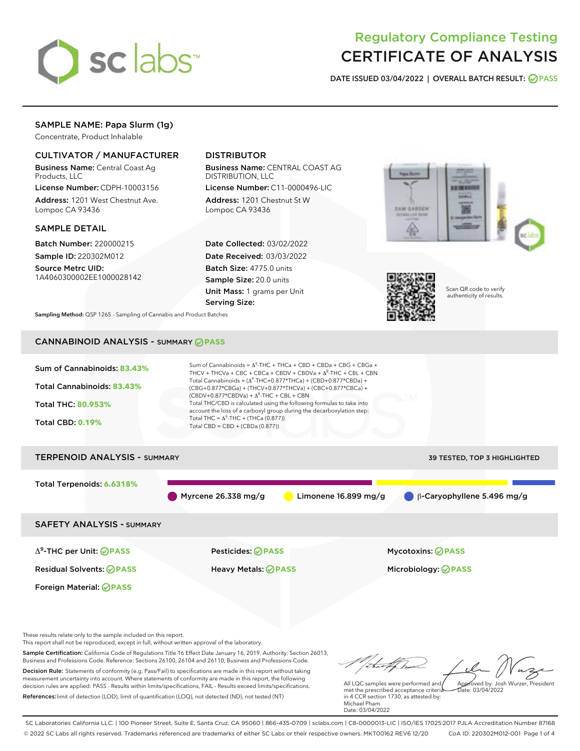

# Regulatory Compliance Testing CERTIFICATE OF ANALYSIS

DATE ISSUED 03/04/2022 | OVERALL BATCH RESULT: @ PASS

## SAMPLE NAME: Papa Slurm (1g)

Concentrate, Product Inhalable

## CULTIVATOR / MANUFACTURER

Business Name: Central Coast Ag Products, LLC

License Number: CDPH-10003156 Address: 1201 West Chestnut Ave. Lompoc CA 93436

#### SAMPLE DETAIL

Batch Number: 220000215 Sample ID: 220302M012

Source Metrc UID: 1A4060300002EE1000028142

## DISTRIBUTOR

Business Name: CENTRAL COAST AG DISTRIBUTION, LLC

License Number: C11-0000496-LIC Address: 1201 Chestnut St W Lompoc CA 93436

Date Collected: 03/02/2022 Date Received: 03/03/2022 Batch Size: 4775.0 units Sample Size: 20.0 units Unit Mass: 1 grams per Unit Serving Size:





in 4 CCR section 1730, as attested by:

Michael Pham Date: 03/04/2022 Scan QR code to verify authenticity of results.

Sampling Method: QSP 1265 - Sampling of Cannabis and Product Batches

## CANNABINOID ANALYSIS - SUMMARY **PASS**

References:limit of detection (LOD), limit of quantification (LOQ), not detected (ND), not tested (NT)



SC Laboratories California LLC. | 100 Pioneer Street, Suite E, Santa Cruz, CA 95060 | 866-435-0709 | sclabs.com | C8-0000013-LIC | ISO/IES 17025:2017 PJLA Accreditation Number 87168 © 2022 SC Labs all rights reserved. Trademarks referenced are trademarks of either SC Labs or their respective owners. MKT00162 REV6 12/20 CoA ID: 220302M012-001 Page 1 of 4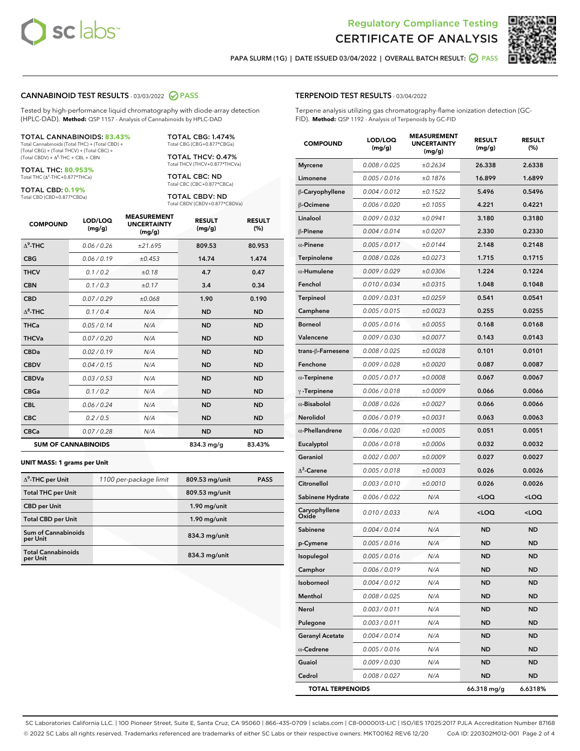



PAPA SLURM (1G) | DATE ISSUED 03/04/2022 | OVERALL BATCH RESULT:  $\bigcirc$  PASS

#### CANNABINOID TEST RESULTS - 03/03/2022 2 PASS

Tested by high-performance liquid chromatography with diode-array detection (HPLC-DAD). **Method:** QSP 1157 - Analysis of Cannabinoids by HPLC-DAD

#### TOTAL CANNABINOIDS: **83.43%**

Total Cannabinoids (Total THC) + (Total CBD) + (Total CBG) + (Total THCV) + (Total CBC) +  $(Total$  CBDV) +  $\Delta$ <sup>8</sup>-THC + CBL + CBN

TOTAL THC: **80.953%** Total THC (Δ<sup>9</sup> -THC+0.877\*THCa)

TOTAL CBD: **0.19%**

Total CBD (CBD+0.877\*CBDa)

TOTAL CBG: 1.474% Total CBG (CBG+0.877\*CBGa)

TOTAL THCV: 0.47% Total THCV (THCV+0.877\*THCVa)

TOTAL CBC: ND Total CBC (CBC+0.877\*CBCa)

TOTAL CBDV: ND Total CBDV (CBDV+0.877\*CBDVa)

| <b>COMPOUND</b> | LOD/LOQ<br>(mg/g)          | <b>MEASUREMENT</b><br><b>UNCERTAINTY</b><br>(mg/g) | <b>RESULT</b><br>(mg/g) | <b>RESULT</b><br>(%) |
|-----------------|----------------------------|----------------------------------------------------|-------------------------|----------------------|
| $\Delta^9$ -THC | 0.06/0.26                  | ±21.695                                            | 809.53                  | 80.953               |
| <b>CBG</b>      | 0.06/0.19                  | ±0.453                                             | 14.74                   | 1.474                |
| <b>THCV</b>     | 0.1 / 0.2                  | ±0.18                                              | 4.7                     | 0.47                 |
| <b>CBN</b>      | 0.1/0.3                    | ±0.17                                              | 3.4                     | 0.34                 |
| <b>CBD</b>      | 0.07/0.29                  | ±0.068                                             | 1.90                    | 0.190                |
| $\Delta^8$ -THC | 0.1 / 0.4                  | N/A                                                | <b>ND</b>               | <b>ND</b>            |
| <b>THCa</b>     | 0.05/0.14                  | N/A                                                | <b>ND</b>               | <b>ND</b>            |
| <b>THCVa</b>    | 0.07 / 0.20                | N/A                                                | <b>ND</b>               | <b>ND</b>            |
| <b>CBDa</b>     | 0.02/0.19                  | N/A                                                | <b>ND</b>               | <b>ND</b>            |
| <b>CBDV</b>     | 0.04 / 0.15                | N/A                                                | <b>ND</b>               | <b>ND</b>            |
| <b>CBDVa</b>    | 0.03 / 0.53                | N/A                                                | <b>ND</b>               | <b>ND</b>            |
| <b>CBGa</b>     | 0.1 / 0.2                  | N/A                                                | <b>ND</b>               | <b>ND</b>            |
| <b>CBL</b>      | 0.06 / 0.24                | N/A                                                | <b>ND</b>               | <b>ND</b>            |
| <b>CBC</b>      | 0.2 / 0.5                  | N/A                                                | <b>ND</b>               | <b>ND</b>            |
| <b>CBCa</b>     | 0.07/0.28                  | N/A                                                | <b>ND</b>               | <b>ND</b>            |
|                 | <b>SUM OF CANNABINOIDS</b> |                                                    | 834.3 mg/g              | 83.43%               |

#### **UNIT MASS: 1 grams per Unit**

| $\Delta^9$ -THC per Unit              | 1100 per-package limit | 809.53 mg/unit | <b>PASS</b> |
|---------------------------------------|------------------------|----------------|-------------|
| <b>Total THC per Unit</b>             |                        | 809.53 mg/unit |             |
| <b>CBD</b> per Unit                   |                        | $1.90$ mg/unit |             |
| <b>Total CBD per Unit</b>             |                        | $1.90$ mg/unit |             |
| Sum of Cannabinoids<br>per Unit       |                        | 834.3 mg/unit  |             |
| <b>Total Cannabinoids</b><br>per Unit |                        | 834.3 mg/unit  |             |

| <b>COMPOUND</b>         | LOD/LOQ<br>(mg/g) | <b>MEASUREMENT</b><br>UNCERTAINTY<br>(mg/g) | <b>RESULT</b><br>(mg/g)                         | <b>RESULT</b><br>(%) |
|-------------------------|-------------------|---------------------------------------------|-------------------------------------------------|----------------------|
| <b>Myrcene</b>          | 0.008 / 0.025     | ±0.2634                                     | 26.338                                          | 2.6338               |
| Limonene                | 0.005 / 0.016     | ±0.1876                                     | 16.899                                          | 1.6899               |
| β-Caryophyllene         | 0.004 / 0.012     | ±0.1522                                     | 5.496                                           | 0.5496               |
| β-Ocimene               | 0.006 / 0.020     | ±0.1055                                     | 4.221                                           | 0.4221               |
| Linalool                | 0.009 / 0.032     | ±0.0941                                     | 3.180                                           | 0.3180               |
| <b>B-Pinene</b>         | 0.004 / 0.014     | ±0.0207                                     | 2.330                                           | 0.2330               |
| $\alpha$ -Pinene        | 0.005 / 0.017     | ±0.0144                                     | 2.148                                           | 0.2148               |
| Terpinolene             | 0.008 / 0.026     | ±0.0273                                     | 1.715                                           | 0.1715               |
| $\alpha$ -Humulene      | 0.009/0.029       | ±0.0306                                     | 1.224                                           | 0.1224               |
| Fenchol                 | 0.010 / 0.034     | ±0.0315                                     | 1.048                                           | 0.1048               |
| Terpineol               | 0.009 / 0.031     | ±0.0259                                     | 0.541                                           | 0.0541               |
| Camphene                | 0.005 / 0.015     | ±0.0023                                     | 0.255                                           | 0.0255               |
| <b>Borneol</b>          | 0.005 / 0.016     | ±0.0055                                     | 0.168                                           | 0.0168               |
| Valencene               | 0.009 / 0.030     | ±0.0077                                     | 0.143                                           | 0.0143               |
| trans-β-Farnesene       | 0.008 / 0.025     | ±0.0028                                     | 0.101                                           | 0.0101               |
| Fenchone                | 0.009 / 0.028     | ±0.0020                                     | 0.087                                           | 0.0087               |
| $\alpha$ -Terpinene     | 0.005 / 0.017     | ±0.0008                                     | 0.067                                           | 0.0067               |
| $\gamma$ -Terpinene     | 0.006 / 0.018     | ±0.0009                                     | 0.066                                           | 0.0066               |
| $\alpha$ -Bisabolol     | 0.008 / 0.026     | ±0.0027                                     | 0.066                                           | 0.0066               |
| Nerolidol               | 0.006 / 0.019     | ±0.0031                                     | 0.063                                           | 0.0063               |
| $\alpha$ -Phellandrene  | 0.006 / 0.020     | ±0.0005                                     | 0.051                                           | 0.0051               |
| Eucalyptol              | 0.006 / 0.018     | ±0.0006                                     | 0.032                                           | 0.0032               |
| Geraniol                | 0.002 / 0.007     | ±0.0009                                     | 0.027                                           | 0.0027               |
| $\Delta^3$ -Carene      | 0.005 / 0.018     | ±0.0003                                     | 0.026                                           | 0.0026               |
| Citronellol             | 0.003 / 0.010     | ±0.0010                                     | 0.026                                           | 0.0026               |
| Sabinene Hydrate        | 0.006 / 0.022     | N/A                                         | <loq< th=""><th><loq< th=""></loq<></th></loq<> | <loq< th=""></loq<>  |
| Caryophyllene<br>Oxide  | 0.010 / 0.033     | N/A                                         | $<$ LOQ                                         | <loq< th=""></loq<>  |
| Sabinene                | 0.004 / 0.014     | N/A                                         | ND                                              | <b>ND</b>            |
| p-Cymene                | 0.005 / 0.016     | N/A                                         | <b>ND</b>                                       | <b>ND</b>            |
| Isopulegol              | 0.005/0.016       | N/A                                         | <b>ND</b>                                       | <b>ND</b>            |
| Camphor                 | 0.006 / 0.019     | N/A                                         | ND                                              | ND                   |
| Isoborneol              | 0.004 / 0.012     | N/A                                         | ND                                              | ND                   |
| Menthol                 | 0.008 / 0.025     | N/A                                         | ND                                              | ND                   |
| Nerol                   | 0.003 / 0.011     | N/A                                         | ND                                              | ND                   |
| Pulegone                | 0.003 / 0.011     | N/A                                         | ND                                              | ND                   |
| <b>Geranyl Acetate</b>  | 0.004 / 0.014     | N/A                                         | ND                                              | ND                   |
| $\alpha$ -Cedrene       | 0.005 / 0.016     | N/A                                         | ND                                              | ND                   |
| Guaiol                  | 0.009 / 0.030     | N/A                                         | ND                                              | ND                   |
| Cedrol                  | 0.008 / 0.027     | N/A                                         | ND                                              | ND                   |
| <b>TOTAL TERPENOIDS</b> |                   |                                             | 66.318 mg/g                                     | 6.6318%              |

SC Laboratories California LLC. | 100 Pioneer Street, Suite E, Santa Cruz, CA 95060 | 866-435-0709 | sclabs.com | C8-0000013-LIC | ISO/IES 17025:2017 PJLA Accreditation Number 87168 © 2022 SC Labs all rights reserved. Trademarks referenced are trademarks of either SC Labs or their respective owners. MKT00162 REV6 12/20 CoA ID: 220302M012-001 Page 2 of 4

## TERPENOID TEST RESULTS - 03/04/2022

Terpene analysis utilizing gas chromatography-flame ionization detection (GC-FID). **Method:** QSP 1192 - Analysis of Terpenoids by GC-FID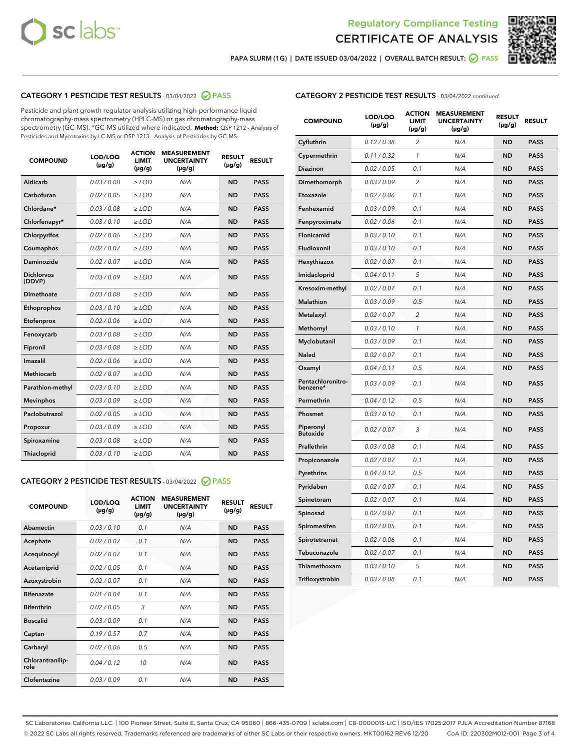



PAPA SLURM (1G) | DATE ISSUED 03/04/2022 | OVERALL BATCH RESULT: 2 PASS

## CATEGORY 1 PESTICIDE TEST RESULTS - 03/04/2022 2 PASS

Pesticide and plant growth regulator analysis utilizing high-performance liquid chromatography-mass spectrometry (HPLC-MS) or gas chromatography-mass spectrometry (GC-MS). \*GC-MS utilized where indicated. **Method:** QSP 1212 - Analysis of Pesticides and Mycotoxins by LC-MS or QSP 1213 - Analysis of Pesticides by GC-MS

| <b>COMPOUND</b>             | LOD/LOQ<br>$(\mu g/g)$ | <b>ACTION</b><br><b>LIMIT</b><br>$(\mu g/g)$ | <b>MEASUREMENT</b><br><b>UNCERTAINTY</b><br>$(\mu g/g)$ | <b>RESULT</b><br>$(\mu g/g)$ | <b>RESULT</b> |
|-----------------------------|------------------------|----------------------------------------------|---------------------------------------------------------|------------------------------|---------------|
| Aldicarb                    | 0.03 / 0.08            | $\ge$ LOD                                    | N/A                                                     | <b>ND</b>                    | <b>PASS</b>   |
| Carbofuran                  | 0.02 / 0.05            | $\ge$ LOD                                    | N/A                                                     | <b>ND</b>                    | <b>PASS</b>   |
| Chlordane*                  | 0.03 / 0.08            | $\ge$ LOD                                    | N/A                                                     | <b>ND</b>                    | <b>PASS</b>   |
| Chlorfenapyr*               | 0.03/0.10              | $\ge$ LOD                                    | N/A                                                     | <b>ND</b>                    | <b>PASS</b>   |
| Chlorpyrifos                | 0.02/0.06              | $>$ LOD                                      | N/A                                                     | <b>ND</b>                    | <b>PASS</b>   |
| Coumaphos                   | 0.02 / 0.07            | $\ge$ LOD                                    | N/A                                                     | <b>ND</b>                    | <b>PASS</b>   |
| Daminozide                  | 0.02 / 0.07            | $\ge$ LOD                                    | N/A                                                     | <b>ND</b>                    | <b>PASS</b>   |
| <b>Dichlorvos</b><br>(DDVP) | 0.03/0.09              | $>$ LOD                                      | N/A                                                     | <b>ND</b>                    | <b>PASS</b>   |
| Dimethoate                  | 0.03 / 0.08            | $\ge$ LOD                                    | N/A                                                     | <b>ND</b>                    | <b>PASS</b>   |
| Ethoprophos                 | 0.03/0.10              | $>$ LOD                                      | N/A                                                     | <b>ND</b>                    | <b>PASS</b>   |
| Etofenprox                  | 0.02 / 0.06            | $\ge$ LOD                                    | N/A                                                     | <b>ND</b>                    | <b>PASS</b>   |
| Fenoxycarb                  | 0.03 / 0.08            | $\ge$ LOD                                    | N/A                                                     | <b>ND</b>                    | <b>PASS</b>   |
| Fipronil                    | 0.03 / 0.08            | $\ge$ LOD                                    | N/A                                                     | <b>ND</b>                    | <b>PASS</b>   |
| Imazalil                    | 0.02 / 0.06            | $>$ LOD                                      | N/A                                                     | <b>ND</b>                    | <b>PASS</b>   |
| <b>Methiocarb</b>           | 0.02 / 0.07            | $\ge$ LOD                                    | N/A                                                     | <b>ND</b>                    | <b>PASS</b>   |
| Parathion-methyl            | 0.03/0.10              | $\ge$ LOD                                    | N/A                                                     | <b>ND</b>                    | <b>PASS</b>   |
| <b>Mevinphos</b>            | 0.03/0.09              | $\ge$ LOD                                    | N/A                                                     | <b>ND</b>                    | <b>PASS</b>   |
| Paclobutrazol               | 0.02 / 0.05            | $\ge$ LOD                                    | N/A                                                     | <b>ND</b>                    | <b>PASS</b>   |
| Propoxur                    | 0.03/0.09              | $>$ LOD                                      | N/A                                                     | <b>ND</b>                    | <b>PASS</b>   |
| Spiroxamine                 | 0.03 / 0.08            | $\ge$ LOD                                    | N/A                                                     | <b>ND</b>                    | <b>PASS</b>   |
| <b>Thiacloprid</b>          | 0.03/0.10              | $\ge$ LOD                                    | N/A                                                     | <b>ND</b>                    | <b>PASS</b>   |
|                             |                        |                                              |                                                         |                              |               |

## CATEGORY 2 PESTICIDE TEST RESULTS - 03/04/2022 @ PASS

| <b>COMPOUND</b>          | LOD/LOQ<br>$(\mu g/g)$ | <b>ACTION</b><br><b>LIMIT</b><br>$(\mu g/g)$ | <b>MEASUREMENT</b><br><b>UNCERTAINTY</b><br>$(\mu g/g)$ | <b>RESULT</b><br>$(\mu g/g)$ | <b>RESULT</b> |
|--------------------------|------------------------|----------------------------------------------|---------------------------------------------------------|------------------------------|---------------|
| Abamectin                | 0.03/0.10              | 0.1                                          | N/A                                                     | <b>ND</b>                    | <b>PASS</b>   |
| Acephate                 | 0.02/0.07              | 0.1                                          | N/A                                                     | <b>ND</b>                    | <b>PASS</b>   |
| Acequinocyl              | 0.02/0.07              | 0.1                                          | N/A                                                     | <b>ND</b>                    | <b>PASS</b>   |
| Acetamiprid              | 0.02/0.05              | 0.1                                          | N/A                                                     | <b>ND</b>                    | <b>PASS</b>   |
| Azoxystrobin             | 0.02 / 0.07            | 0.1                                          | N/A                                                     | <b>ND</b>                    | <b>PASS</b>   |
| <b>Bifenazate</b>        | 0.01/0.04              | 0.1                                          | N/A                                                     | <b>ND</b>                    | <b>PASS</b>   |
| <b>Bifenthrin</b>        | 0.02/0.05              | 3                                            | N/A                                                     | <b>ND</b>                    | <b>PASS</b>   |
| <b>Boscalid</b>          | 0.03/0.09              | 0.1                                          | N/A                                                     | <b>ND</b>                    | <b>PASS</b>   |
| Captan                   | 0.19/0.57              | 0.7                                          | N/A                                                     | <b>ND</b>                    | <b>PASS</b>   |
| Carbaryl                 | 0.02/0.06              | 0.5                                          | N/A                                                     | <b>ND</b>                    | <b>PASS</b>   |
| Chlorantranilip-<br>role | 0.04/0.12              | 10                                           | N/A                                                     | <b>ND</b>                    | <b>PASS</b>   |
| Clofentezine             | 0.03/0.09              | 0.1                                          | N/A                                                     | <b>ND</b>                    | <b>PASS</b>   |

### CATEGORY 2 PESTICIDE TEST RESULTS - 03/04/2022 continued

| <b>COMPOUND</b>               | LOD/LOQ<br>(µg/g) | <b>ACTION</b><br><b>LIMIT</b><br>(µg/g) | <b>MEASUREMENT</b><br><b>UNCERTAINTY</b><br>(µg/g) | <b>RESULT</b><br>$(\mu g/g)$ | <b>RESULT</b> |
|-------------------------------|-------------------|-----------------------------------------|----------------------------------------------------|------------------------------|---------------|
| Cyfluthrin                    | 0.12 / 0.38       | $\overline{c}$                          | N/A                                                | <b>ND</b>                    | <b>PASS</b>   |
| Cypermethrin                  | 0.11 / 0.32       | $\mathcal{I}$                           | N/A                                                | <b>ND</b>                    | <b>PASS</b>   |
| <b>Diazinon</b>               | 0.02 / 0.05       | 0.1                                     | N/A                                                | <b>ND</b>                    | <b>PASS</b>   |
| Dimethomorph                  | 0.03 / 0.09       | 2                                       | N/A                                                | <b>ND</b>                    | <b>PASS</b>   |
| Etoxazole                     | 0.02 / 0.06       | 0.1                                     | N/A                                                | <b>ND</b>                    | <b>PASS</b>   |
| Fenhexamid                    | 0.03 / 0.09       | 0.1                                     | N/A                                                | <b>ND</b>                    | <b>PASS</b>   |
| Fenpyroximate                 | 0.02 / 0.06       | 0.1                                     | N/A                                                | <b>ND</b>                    | <b>PASS</b>   |
| Flonicamid                    | 0.03 / 0.10       | 0.1                                     | N/A                                                | <b>ND</b>                    | <b>PASS</b>   |
| Fludioxonil                   | 0.03 / 0.10       | 0.1                                     | N/A                                                | <b>ND</b>                    | <b>PASS</b>   |
| Hexythiazox                   | 0.02 / 0.07       | 0.1                                     | N/A                                                | <b>ND</b>                    | <b>PASS</b>   |
| Imidacloprid                  | 0.04 / 0.11       | 5                                       | N/A                                                | <b>ND</b>                    | <b>PASS</b>   |
| Kresoxim-methyl               | 0.02 / 0.07       | 0.1                                     | N/A                                                | <b>ND</b>                    | <b>PASS</b>   |
| Malathion                     | 0.03 / 0.09       | 0.5                                     | N/A                                                | <b>ND</b>                    | <b>PASS</b>   |
| Metalaxyl                     | 0.02 / 0.07       | $\overline{c}$                          | N/A                                                | <b>ND</b>                    | <b>PASS</b>   |
| Methomyl                      | 0.03 / 0.10       | 1                                       | N/A                                                | <b>ND</b>                    | <b>PASS</b>   |
| Myclobutanil                  | 0.03 / 0.09       | 0.1                                     | N/A                                                | <b>ND</b>                    | <b>PASS</b>   |
| <b>Naled</b>                  | 0.02 / 0.07       | 0.1                                     | N/A                                                | <b>ND</b>                    | <b>PASS</b>   |
| Oxamyl                        | 0.04 / 0.11       | 0.5                                     | N/A                                                | ND                           | <b>PASS</b>   |
| Pentachloronitro-<br>benzene* | 0.03 / 0.09       | 0.1                                     | N/A                                                | <b>ND</b>                    | <b>PASS</b>   |
| Permethrin                    | 0.04 / 0.12       | 0.5                                     | N/A                                                | <b>ND</b>                    | <b>PASS</b>   |
| Phosmet                       | 0.03 / 0.10       | 0.1                                     | N/A                                                | <b>ND</b>                    | <b>PASS</b>   |
| Piperonyl<br><b>Butoxide</b>  | 0.02 / 0.07       | 3                                       | N/A                                                | <b>ND</b>                    | <b>PASS</b>   |
| Prallethrin                   | 0.03 / 0.08       | 0.1                                     | N/A                                                | <b>ND</b>                    | <b>PASS</b>   |
| Propiconazole                 | 0.02 / 0.07       | 0.1                                     | N/A                                                | <b>ND</b>                    | <b>PASS</b>   |
| Pyrethrins                    | 0.04 / 0.12       | 0.5                                     | N/A                                                | <b>ND</b>                    | <b>PASS</b>   |
| Pyridaben                     | 0.02 / 0.07       | 0.1                                     | N/A                                                | <b>ND</b>                    | <b>PASS</b>   |
| Spinetoram                    | 0.02 / 0.07       | 0.1                                     | N/A                                                | <b>ND</b>                    | <b>PASS</b>   |
| Spinosad                      | 0.02 / 0.07       | 0.1                                     | N/A                                                | <b>ND</b>                    | <b>PASS</b>   |
| Spiromesifen                  | 0.02 / 0.05       | 0.1                                     | N/A                                                | <b>ND</b>                    | <b>PASS</b>   |
| Spirotetramat                 | 0.02 / 0.06       | 0.1                                     | N/A                                                | <b>ND</b>                    | <b>PASS</b>   |
| Tebuconazole                  | 0.02 / 0.07       | 0.1                                     | N/A                                                | <b>ND</b>                    | <b>PASS</b>   |
| Thiamethoxam                  | 0.03 / 0.10       | 5                                       | N/A                                                | <b>ND</b>                    | <b>PASS</b>   |
| Trifloxystrobin               | 0.03 / 0.08       | 0.1                                     | N/A                                                | <b>ND</b>                    | <b>PASS</b>   |

SC Laboratories California LLC. | 100 Pioneer Street, Suite E, Santa Cruz, CA 95060 | 866-435-0709 | sclabs.com | C8-0000013-LIC | ISO/IES 17025:2017 PJLA Accreditation Number 87168 © 2022 SC Labs all rights reserved. Trademarks referenced are trademarks of either SC Labs or their respective owners. MKT00162 REV6 12/20 CoA ID: 220302M012-001 Page 3 of 4